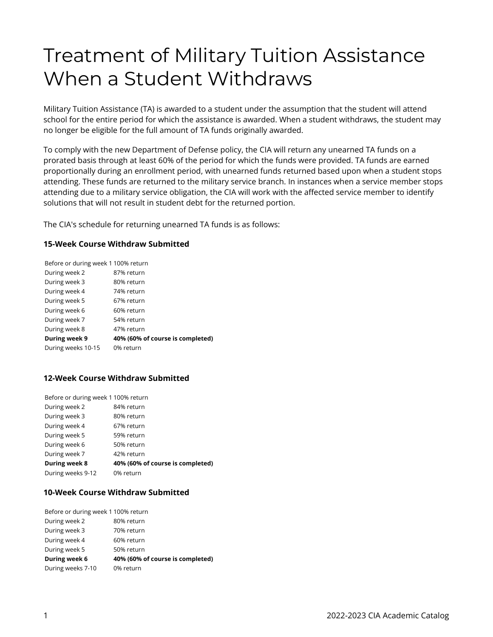# Treatment of Military Tuition Assistance When a Student Withdraws

Military Tuition Assistance (TA) is awarded to a student under the assumption that the student will attend school for the entire period for which the assistance is awarded. When a student withdraws, the student may no longer be eligible for the full amount of TA funds originally awarded.

To comply with the new Department of Defense policy, the CIA will return any unearned TA funds on a prorated basis through at least 60% of the period for which the funds were provided. TA funds are earned proportionally during an enrollment period, with unearned funds returned based upon when a student stops attending. These funds are returned to the military service branch. In instances when a service member stops attending due to a military service obligation, the CIA will work with the affected service member to identify solutions that will not result in student debt for the returned portion.

The CIA's schedule for returning unearned TA funds is as follows:

### **15-Week Course Withdraw Submitted**

| Before or during week 1 100% return |
|-------------------------------------|
| 87% return                          |
| 80% return                          |
| 74% return                          |
| 67% return                          |
| 60% return                          |
| 54% return                          |
| 47% return                          |
| 40% (60% of course is completed)    |
| 0% return                           |
|                                     |

## **12-Week Course Withdraw Submitted**

| Before or during week 1 100% return |                                  |
|-------------------------------------|----------------------------------|
| During week 2                       | 84% return                       |
| During week 3                       | 80% return                       |
| During week 4                       | 67% return                       |
| During week 5                       | 59% return                       |
| During week 6                       | 50% return                       |
| During week 7                       | 42% return                       |
| <b>During week 8</b>                | 40% (60% of course is completed) |
| During weeks 9-12                   | 0% return                        |

### **10-Week Course Withdraw Submitted**

| Before or during week 1 100% return |
|-------------------------------------|
| 80% return                          |
| 70% return                          |
| 60% return                          |
| 50% return                          |
| 40% (60% of course is completed)    |
| 0% return                           |
|                                     |